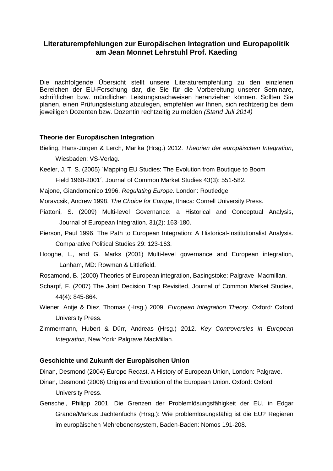# **Literaturempfehlungen zur Europäischen Integration und Europapolitik am Jean Monnet Lehrstuhl Prof. Kaeding**

Die nachfolgende Übersicht stellt unsere Literaturempfehlung zu den einzlenen Bereichen der EU-Forschung dar, die Sie für die Vorbereitung unserer Seminare, schriftlichen bzw. mündlichen Leistungsnachweisen heranziehen können. Sollten Sie planen, einen Prüfungsleistung abzulegen, empfehlen wir Ihnen, sich rechtzeitig bei dem jeweiligen Dozenten bzw. Dozentin rechtzeitig zu melden *(Stand Juli 2014)*

# **Theorie der Europäischen Integration**

- Bieling, Hans-Jürgen & Lerch, Marika (Hrsg.) 2012. *Theorien der europäischen Integration*, Wiesbaden: VS-Verlag.
- Keeler, J. T. S. (2005) ´Mapping EU Studies: The Evolution from Boutique to Boom Field 1960-2001´, Journal of Common Market Studies 43(3): 551-582.
- Majone, Giandomenico 1996. *Regulating Europe*. London: Routledge.
- Moravcsik, Andrew 1998. *The Choice for Europe*, Ithaca: Cornell University Press.
- Piattoni, S. (2009) Multi-level Governance: a Historical and Conceptual Analysis, Journal of European Integration. 31(2): 163-180.
- Pierson, Paul 1996. The Path to European Integration: A Historical-Institutionalist Analysis. Comparative Political Studies 29: 123-163.
- Hooghe, L., and G. Marks (2001) Multi-level governance and European integration, Lanham, MD: Rowman & Littlefield.
- Rosamond, B. (2000) Theories of European integration, Basingstoke: Palgrave Macmillan.
- Scharpf, F. (2007) The Joint Decision Trap Revisited, Journal of Common Market Studies, 44(4): 845-864.
- Wiener, Antje & Diez, Thomas (Hrsg.) 2009. *European Integration Theory*. Oxford: Oxford University Press.
- Zimmermann, Hubert & Dürr, Andreas (Hrsg.) 2012. *Key Controversies in European Integration,* New York: Palgrave MacMillan.

# **Geschichte und Zukunft der Europäischen Union**

Dinan, Desmond (2004) Europe Recast. A History of European Union, London: Palgrave.

- Dinan, Desmond (2006) Origins and Evolution of the European Union. Oxford: Oxford University Press.
- Genschel, Philipp 2001. Die Grenzen der Problemlösungsfähigkeit der EU, in Edgar Grande/Markus Jachtenfuchs (Hrsg.): Wie problemlösungsfähig ist die EU? Regieren im europäischen Mehrebenensystem, Baden-Baden: Nomos 191-208.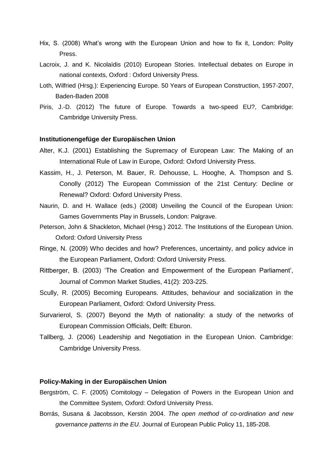- Hix, S. (2008) What's wrong with the European Union and how to fix it, London: Polity Press.
- Lacroix, J. and K. Nicolaïdis (2010) European Stories. Intellectual debates on Europe in national contexts, Oxford : Oxford University Press.
- Loth, Wilfried (Hrsg.): Experiencing Europe. 50 Years of European Construction, 1957-2007, Baden-Baden 2008
- Piris, J.-D. (2012) The future of Europe. Towards a two-speed EU?, Cambridge: Cambridge University Press.

#### **Institutionengefüge der Europäischen Union**

- Alter, K.J. (2001) Establishing the Supremacy of European Law: The Making of an International Rule of Law in Europe, Oxford: Oxford University Press.
- Kassim, H., J. Peterson, M. Bauer, R. Dehousse, L. Hooghe, A. Thompson and S. Conolly (2012) The European Commission of the 21st Century: Decline or Renewal? Oxford: Oxford University Press.
- Naurin, D. and H. Wallace (eds.) (2008) Unveiling the Council of the European Union: Games Governments Play in Brussels, London: Palgrave.
- Peterson, John & Shackleton, Michael (Hrsg.) 2012. The Institutions of the European Union. Oxford: Oxford University Press
- Ringe, N. (2009) Who decides and how? Preferences, uncertainty, and policy advice in the European Parliament, Oxford: Oxford University Press.
- Rittberger, B. (2003) 'The Creation and Empowerment of the European Parliament', Journal of Common Market Studies, 41(2): 203-225.
- Scully, R. (2005) Becoming Europeans. Attitudes, behaviour and socialization in the European Parliament, Oxford: Oxford University Press.
- Survarierol, S. (2007) Beyond the Myth of nationality: a study of the networks of European Commission Officials, Delft: Eburon.
- Tallberg, J. (2006) Leadership and Negotiation in the European Union. Cambridge: Cambridge University Press.

## **Policy-Making in der Europäischen Union**

- Bergström, C. F. (2005) Comitology Delegation of Powers in the European Union and the Committee System, Oxford: Oxford University Press.
- Borrás, Susana & Jacobsson, Kerstin 2004. *The open method of co-ordination and new governance patterns in the EU.* Journal of European Public Policy 11, 185-208.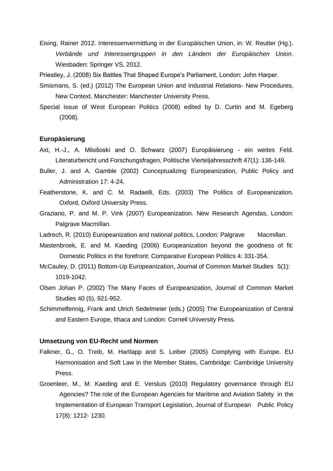Eising, Rainer 2012. Interessenvermittlung in der Europäischen Union, in: W. Reutter (Hg.). *Verbände und Interessengruppen in den Ländern der Europäischen Union*. Wiesbaden: Springer VS, 2012.

Priestley, J. (2008) Six Battles That Shaped Europe's Parliament, London: John Harper.

- Smismans, S. (ed.) (2012) The European Union and Industrial Relations- New Procedures, New Context. Manchester: Manchester University Press.
- Special issue of West European Politics (2008) edited by D. Curtin and M. Egeberg (2008).

# **Europäsierung**

- Axt, H.-J., A. Milošoski and O. Schwarz (2007) Europäisierung ein weites Feld. Literaturbericht und Forschungsfragen, Politische Vierteljahresschrift 47(1): 136-149.
- Buller, J. and A. Gamble (2002) Conceptualizing Europeanization, Public Policy and Administration 17: 4-24.
- Featherstone, K. and C. M. Radaelli, Eds. (2003) The Politics of Europeanization. Oxford, Oxford University Press.
- Graziano, P. and M. P. Vink (2007) Europeanization. New Research Agendas, London: Palgrave Macmillan.

Ladrech, R. (2010) Europeanization and national politics, London: Palgrave Macmillan.

- Mastenbroek, E. and M. Kaeding (2006) Europeanization beyond the goodness of fit: Domestic Politics in the forefront: Comparative European Politics 4: 331-354.
- McCauley, D. (2011) Bottom-Up Europeanization, Journal of Common Market Studies 5(1): 1019-1042.
- Olsen Johan P. (2002) The Many Faces of Europeanization, Journal of Common Market Studies 40 (5), 921-952.
- Schimmelfennig, Frank and Ulrich Sedelmeier (eds.) (2005) The Europeanization of Central and Eastern Europe, Ithaca and London: Cornell University Press.

## **Umsetzung von EU-Recht und Normen**

- Falkner, G., O. Treib, M. Hartlapp and S. Leiber (2005) Complying with Europe. EU Harmonisation and Soft Law in the Member States, Cambridge: Cambridge University Press.
- Groenleer, M., M. Kaeding and E. Versluis (2010) Regulatory governance through EU Agencies? The role of the European Agencies for Maritime and Aviation Safety in the Implementation of European Transport Legislation, Journal of European Public Policy 17(8): 1212- 1230.